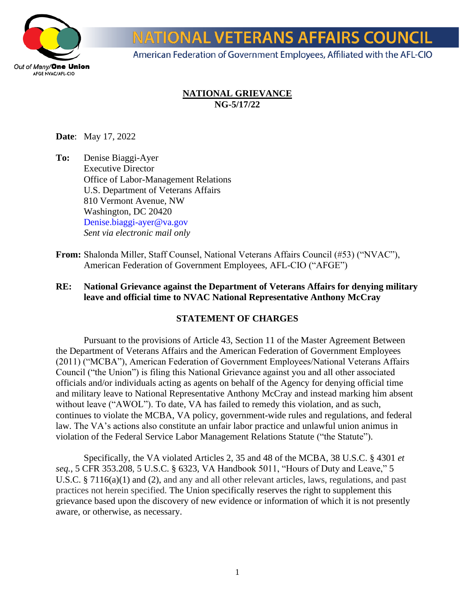

**NATIONAL VETERANS AFFAIRS COUNCIL** 

American Federation of Government Employees, Affiliated with the AFL-CIO

## **NATIONAL GRIEVANCE NG-5/17/22**

**Date**: May 17, 2022

**To:** Denise Biaggi-Ayer Executive Director Office of Labor-Management Relations U.S. Department of Veterans Affairs 810 Vermont Avenue, NW Washington, DC 20420 Denise.biaggi-ayer@va.gov *Sent via electronic mail only*

**From:** Shalonda Miller, Staff Counsel, National Veterans Affairs Council (#53) ("NVAC"), American Federation of Government Employees, AFL-CIO ("AFGE")

## **RE: National Grievance against the Department of Veterans Affairs for denying military leave and official time to NVAC National Representative Anthony McCray**

#### **STATEMENT OF CHARGES**

Pursuant to the provisions of Article 43, Section 11 of the Master Agreement Between the Department of Veterans Affairs and the American Federation of Government Employees (2011) ("MCBA"), American Federation of Government Employees/National Veterans Affairs Council ("the Union") is filing this National Grievance against you and all other associated officials and/or individuals acting as agents on behalf of the Agency for denying official time and military leave to National Representative Anthony McCray and instead marking him absent without leave ("AWOL"). To date, VA has failed to remedy this violation, and as such, continues to violate the MCBA, VA policy, government-wide rules and regulations, and federal law. The VA's actions also constitute an unfair labor practice and unlawful union animus in violation of the Federal Service Labor Management Relations Statute ("the Statute").

Specifically, the VA violated Articles 2, 35 and 48 of the MCBA, 38 U.S.C. § 4301 *et seq.*, 5 CFR 353.208, 5 U.S.C. § 6323, VA Handbook 5011, "Hours of Duty and Leave," 5 U.S.C. § 7116(a)(1) and (2), and any and all other relevant articles, laws, regulations, and past practices not herein specified. The Union specifically reserves the right to supplement this grievance based upon the discovery of new evidence or information of which it is not presently aware, or otherwise, as necessary.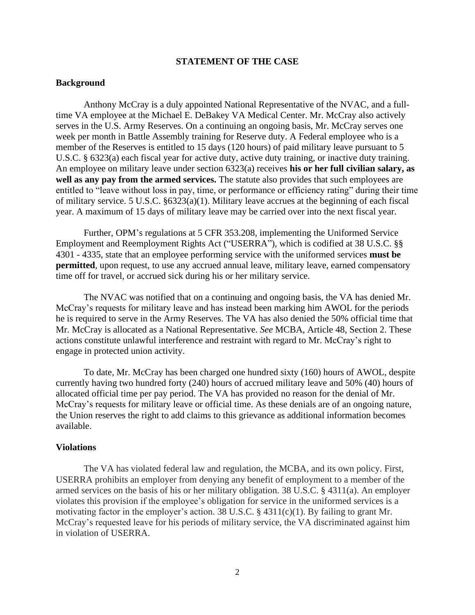#### **STATEMENT OF THE CASE**

#### **Background**

Anthony McCray is a duly appointed National Representative of the NVAC, and a fulltime VA employee at the Michael E. DeBakey VA Medical Center. Mr. McCray also actively serves in the U.S. Army Reserves. On a continuing an ongoing basis, Mr. McCray serves one week per month in Battle Assembly training for Reserve duty. A Federal employee who is a member of the Reserves is entitled to 15 days (120 hours) of paid military leave pursuant to 5 U.S.C. § 6323(a) each fiscal year for active duty, active duty training, or inactive duty training. An employee on military leave under section 6323(a) receives **his or her full civilian salary, as well as any pay from the armed services.** The statute also provides that such employees are entitled to "leave without loss in pay, time, or performance or efficiency rating" during their time of military service. 5 U.S.C. §6323(a)(1). Military leave accrues at the beginning of each fiscal year. A maximum of 15 days of military leave may be carried over into the next fiscal year.

Further, OPM's regulations at 5 CFR 353.208, implementing the Uniformed Service Employment and Reemployment Rights Act ("USERRA"), which is codified at 38 U.S.C. §§ 4301 - 4335, state that an employee performing service with the uniformed services **must be permitted**, upon request, to use any accrued annual leave, military leave, earned compensatory time off for travel, or accrued sick during his or her military service.

The NVAC was notified that on a continuing and ongoing basis, the VA has denied Mr. McCray's requests for military leave and has instead been marking him AWOL for the periods he is required to serve in the Army Reserves. The VA has also denied the 50% official time that Mr. McCray is allocated as a National Representative. *See* MCBA, Article 48, Section 2. These actions constitute unlawful interference and restraint with regard to Mr. McCray's right to engage in protected union activity.

To date, Mr. McCray has been charged one hundred sixty (160) hours of AWOL, despite currently having two hundred forty (240) hours of accrued military leave and 50% (40) hours of allocated official time per pay period. The VA has provided no reason for the denial of Mr. McCray's requests for military leave or official time. As these denials are of an ongoing nature, the Union reserves the right to add claims to this grievance as additional information becomes available.

#### **Violations**

The VA has violated federal law and regulation, the MCBA, and its own policy. First, USERRA prohibits an employer from denying any benefit of employment to a member of the armed services on the basis of his or her military obligation. 38 U.S.C. § 4311(a). An employer violates this provision if the employee's obligation for service in the uniformed services is a motivating factor in the employer's action. 38 U.S.C.  $\S$  4311(c)(1). By failing to grant Mr. McCray's requested leave for his periods of military service, the VA discriminated against him in violation of USERRA.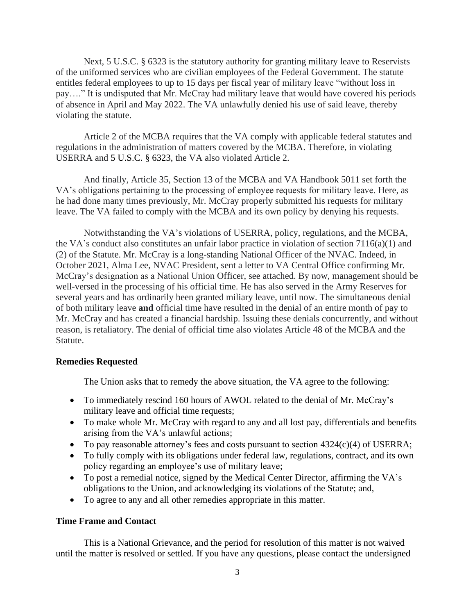Next, 5 U.S.C. § 6323 is the statutory authority for granting military leave to Reservists of the uniformed services who are civilian employees of the Federal Government. The statute entitles federal employees to up to 15 days per fiscal year of military leave "without loss in pay…." It is undisputed that Mr. McCray had military leave that would have covered his periods of absence in April and May 2022. The VA unlawfully denied his use of said leave, thereby violating the statute.

Article 2 of the MCBA requires that the VA comply with applicable federal statutes and regulations in the administration of matters covered by the MCBA. Therefore, in violating USERRA and 5 U.S.C. § 6323, the VA also violated Article 2.

And finally, Article 35, Section 13 of the MCBA and VA Handbook 5011 set forth the VA's obligations pertaining to the processing of employee requests for military leave. Here, as he had done many times previously, Mr. McCray properly submitted his requests for military leave. The VA failed to comply with the MCBA and its own policy by denying his requests.

Notwithstanding the VA's violations of USERRA, policy, regulations, and the MCBA, the VA's conduct also constitutes an unfair labor practice in violation of section 7116(a)(1) and (2) of the Statute. Mr. McCray is a long-standing National Officer of the NVAC. Indeed, in October 2021, Alma Lee, NVAC President, sent a letter to VA Central Office confirming Mr. McCray's designation as a National Union Officer, see attached. By now, management should be well-versed in the processing of his official time. He has also served in the Army Reserves for several years and has ordinarily been granted miliary leave, until now. The simultaneous denial of both military leave **and** official time have resulted in the denial of an entire month of pay to Mr. McCray and has created a financial hardship. Issuing these denials concurrently, and without reason, is retaliatory. The denial of official time also violates Article 48 of the MCBA and the Statute.

#### **Remedies Requested**

The Union asks that to remedy the above situation, the VA agree to the following:

- To immediately rescind 160 hours of AWOL related to the denial of Mr. McCray's military leave and official time requests;
- To make whole Mr. McCray with regard to any and all lost pay, differentials and benefits arising from the VA's unlawful actions;
- To pay reasonable attorney's fees and costs pursuant to section 4324(c)(4) of USERRA;
- To fully comply with its obligations under federal law, regulations, contract, and its own policy regarding an employee's use of military leave;
- To post a remedial notice, signed by the Medical Center Director, affirming the VA's obligations to the Union, and acknowledging its violations of the Statute; and,
- To agree to any and all other remedies appropriate in this matter.

#### **Time Frame and Contact**

This is a National Grievance, and the period for resolution of this matter is not waived until the matter is resolved or settled. If you have any questions, please contact the undersigned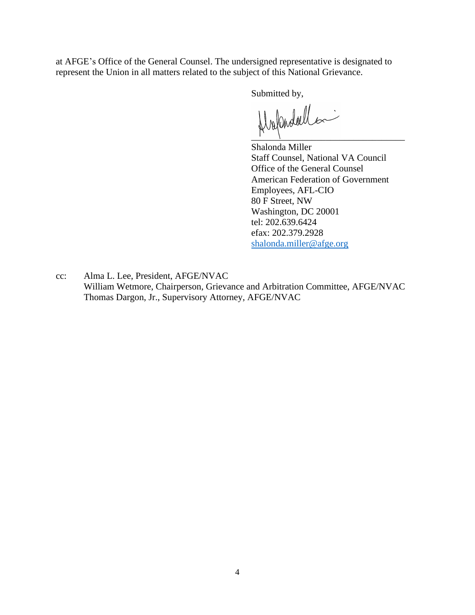at AFGE's Office of the General Counsel. The undersigned representative is designated to represent the Union in all matters related to the subject of this National Grievance.

Submitted by,

 $H_{\text{val}}$ andoell

Shalonda Miller Staff Counsel, National VA Council Office of the General Counsel American Federation of Government Employees, AFL-CIO 80 F Street, NW Washington, DC 20001 tel: 202.639.6424 efax: 202.379.2928 [shalonda.miller@afge.org](mailto:shalonda.miller@afge.org)

cc: Alma L. Lee, President, AFGE/NVAC William Wetmore, Chairperson, Grievance and Arbitration Committee, AFGE/NVAC Thomas Dargon, Jr., Supervisory Attorney, AFGE/NVAC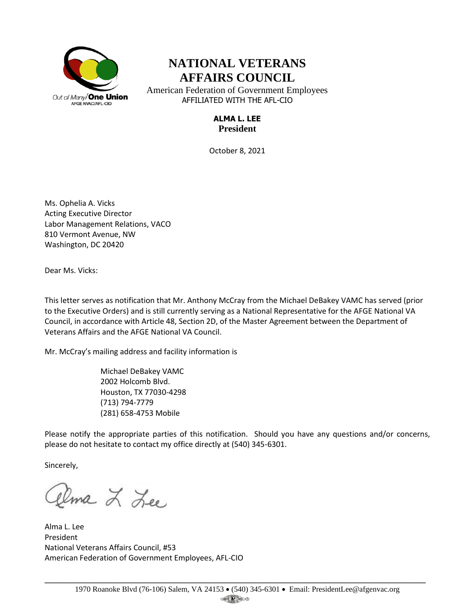

# **NATIONAL VETERANS AFFAIRS COUNCIL**

American Federation of Government Employees AFFILIATED WITH THE AFL-CIO

# **ALMA L. LEE President**

October 8, 2021

Ms. Ophelia A. Vicks Acting Executive Director Labor Management Relations, VACO 810 Vermont Avenue, NW Washington, DC 20420

Dear Ms. Vicks:

This letter serves as notification that Mr. Anthony McCray from the Michael DeBakey VAMC has served (prior to the Executive Orders) and is still currently serving as a National Representative for the AFGE National VA Council, in accordance with Article 48, Section 2D, of the Master Agreement between the Department of Veterans Affairs and the AFGE National VA Council.

Mr. McCray's mailing address and facility information is

Michael DeBakey VAMC 2002 Holcomb Blvd. Houston, TX 77030-4298 (713) 794-7779 (281) 658-4753 Mobile

Please notify the appropriate parties of this notification. Should you have any questions and/or concerns, please do not hesitate to contact my office directly at (540) 345-6301.

Sincerely,

llma L Lee

Alma L. Lee President National Veterans Affairs Council, #53 American Federation of Government Employees, AFL-CIO

\_\_\_\_\_\_\_\_\_\_\_\_\_\_\_\_\_\_\_\_\_\_\_\_\_\_\_\_\_\_\_\_\_\_\_\_\_\_\_\_\_\_\_\_\_\_\_\_\_\_\_\_\_\_\_\_\_\_\_\_\_\_\_\_\_\_\_\_\_\_\_\_\_\_\_